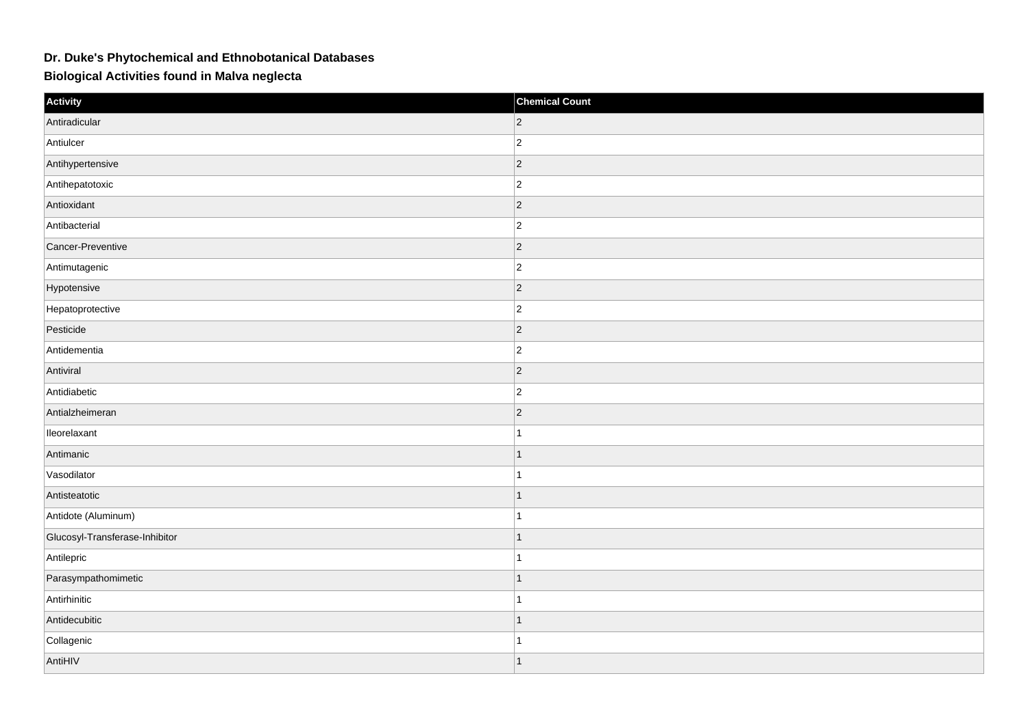## **Dr. Duke's Phytochemical and Ethnobotanical Databases**

**Biological Activities found in Malva neglecta**

| Activity                       | <b>Chemical Count</b> |
|--------------------------------|-----------------------|
| Antiradicular                  | $ 2\rangle$           |
| Antiulcer                      | $\overline{2}$        |
| Antihypertensive               | $ 2\rangle$           |
| Antihepatotoxic                | $ 2\rangle$           |
| Antioxidant                    | $\overline{2}$        |
| Antibacterial                  | $ 2\rangle$           |
| Cancer-Preventive              | $\vert$ 2             |
| Antimutagenic                  | $\overline{2}$        |
| Hypotensive                    | $ 2\rangle$           |
| Hepatoprotective               | $ 2\rangle$           |
| Pesticide                      | $\overline{2}$        |
| Antidementia                   | $ 2\rangle$           |
| Antiviral                      | $ 2\rangle$           |
| Antidiabetic                   | $\overline{2}$        |
| Antialzheimeran                | $ 2\rangle$           |
| lleorelaxant                   | $\overline{1}$        |
| Antimanic                      | $\mathbf{1}$          |
| Vasodilator                    |                       |
| Antisteatotic                  | $\mathbf{1}$          |
| Antidote (Aluminum)            | $\overline{1}$        |
| Glucosyl-Transferase-Inhibitor | $\overline{1}$        |
| Antilepric                     | $\overline{1}$        |
| Parasympathomimetic            | $\mathbf{1}$          |
| Antirhinitic                   |                       |
| Antidecubitic                  | $\overline{1}$        |
| Collagenic                     | 1                     |
| AntiHIV                        | $\mathbf{1}$          |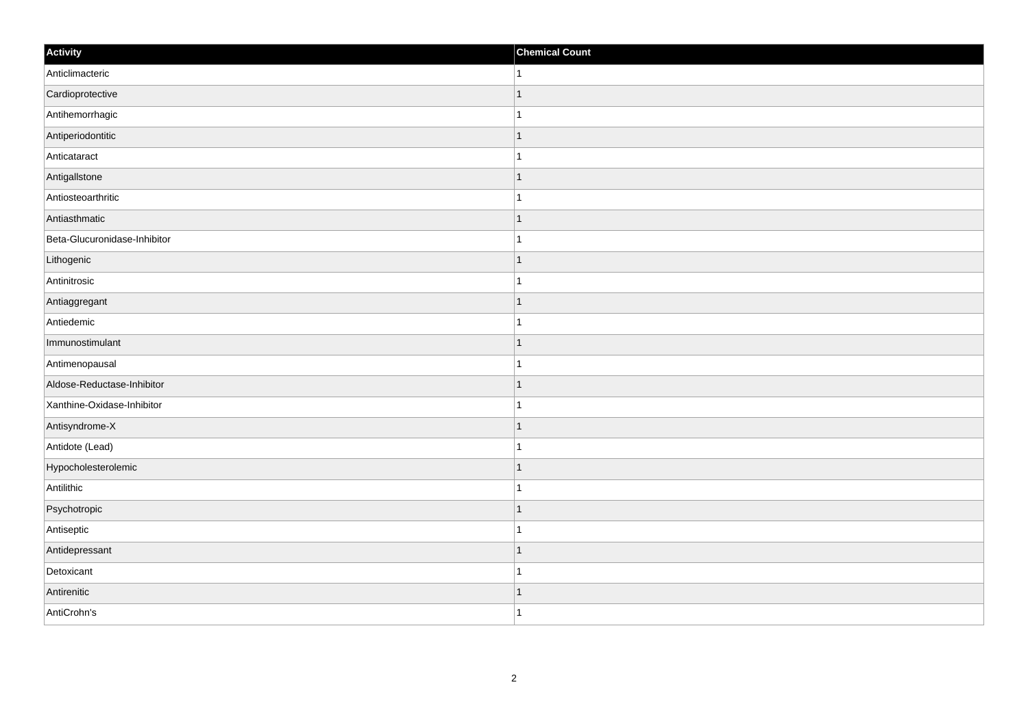| Activity                     | <b>Chemical Count</b> |
|------------------------------|-----------------------|
| Anticlimacteric              | $\mathbf{1}$          |
| Cardioprotective             | $\mathbf{1}$          |
| Antihemorrhagic              | $\mathbf{1}$          |
| Antiperiodontitic            | $\mathbf{1}$          |
| Anticataract                 | $\mathbf{1}$          |
| Antigallstone                | $\mathbf{1}$          |
| Antiosteoarthritic           | $\mathbf{1}$          |
| Antiasthmatic                | $\mathbf{1}$          |
| Beta-Glucuronidase-Inhibitor | $\overline{1}$        |
| Lithogenic                   | $\vert$ 1             |
| Antinitrosic                 | $\mathbf{1}$          |
| Antiaggregant                | $\mathbf{1}$          |
| Antiedemic                   | $\mathbf{1}$          |
| Immunostimulant              | $\mathbf{1}$          |
| Antimenopausal               | $\mathbf{1}$          |
| Aldose-Reductase-Inhibitor   | $\vert$ 1             |
| Xanthine-Oxidase-Inhibitor   | $\mathbf{1}$          |
| Antisyndrome-X               | $\mathbf{1}$          |
| Antidote (Lead)              | $\mathbf{1}$          |
| Hypocholesterolemic          | $\mathbf{1}$          |
| Antilithic                   | $\mathbf{1}$          |
| Psychotropic                 | $\vert$ 1             |
| Antiseptic                   | $\mathbf{1}$          |
| Antidepressant               | $\mathbf{1}$          |
| Detoxicant                   | $\mathbf{1}$          |
| Antirenitic                  | $\mathbf{1}$          |
| AntiCrohn's                  | $\vert$ 1             |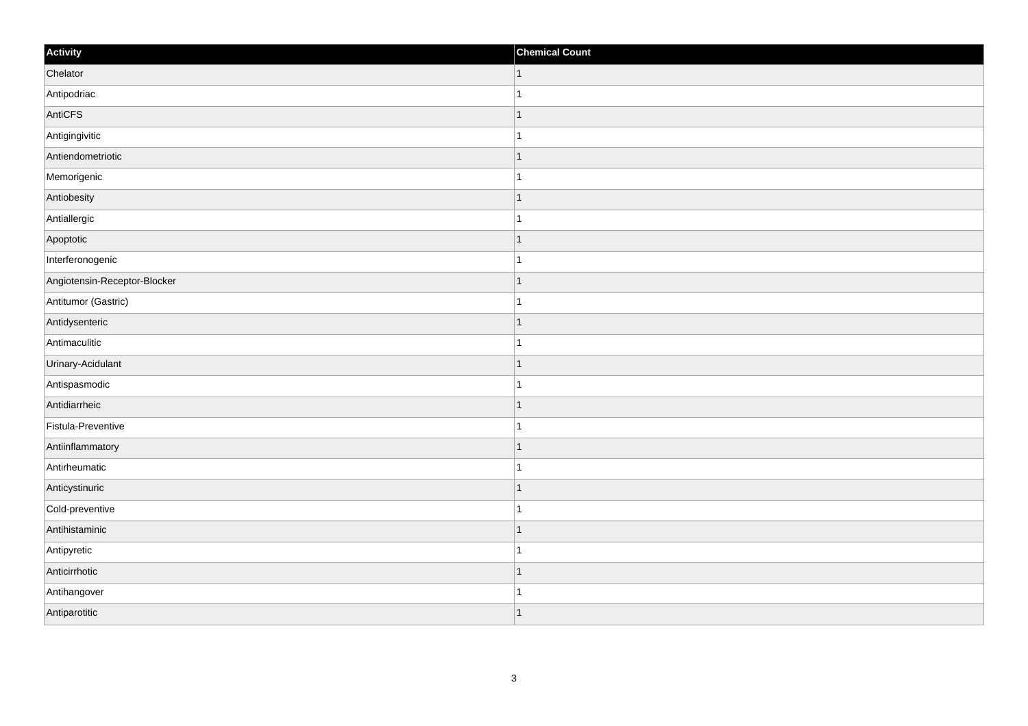| Activity                     | <b>Chemical Count</b> |
|------------------------------|-----------------------|
| Chelator                     | $\vert$ 1             |
| Antipodriac                  | $\overline{1}$        |
| AntiCFS                      | 1                     |
| Antigingivitic               | 1                     |
| Antiendometriotic            | $\mathbf 1$           |
| Memorigenic                  |                       |
| Antiobesity                  | $\mathbf{1}$          |
| Antiallergic                 | $\mathbf{1}$          |
| Apoptotic                    | $\mathbf 1$           |
| Interferonogenic             | $\mathbf{1}$          |
| Angiotensin-Receptor-Blocker | $\overline{1}$        |
| Antitumor (Gastric)          |                       |
| Antidysenteric               | $\vert$ 1             |
| Antimaculitic                | $\mathbf{1}$          |
| Urinary-Acidulant            | $\mathbf 1$           |
| Antispasmodic                | $\mathbf{1}$          |
| Antidiarrheic                | $\mathbf 1$           |
| Fistula-Preventive           |                       |
| Antiinflammatory             | $\mathbf{1}$          |
| Antirheumatic                | $\mathbf 1$           |
| Anticystinuric               | $\mathbf 1$           |
| Cold-preventive              | $\mathbf{1}$          |
| Antihistaminic               | $\mathbf 1$           |
| Antipyretic                  | $\mathbf{1}$          |
| Anticirrhotic                | $\mathbf{1}$          |
| Antihangover                 | 1                     |
| Antiparotitic                | $\mathbf{1}$          |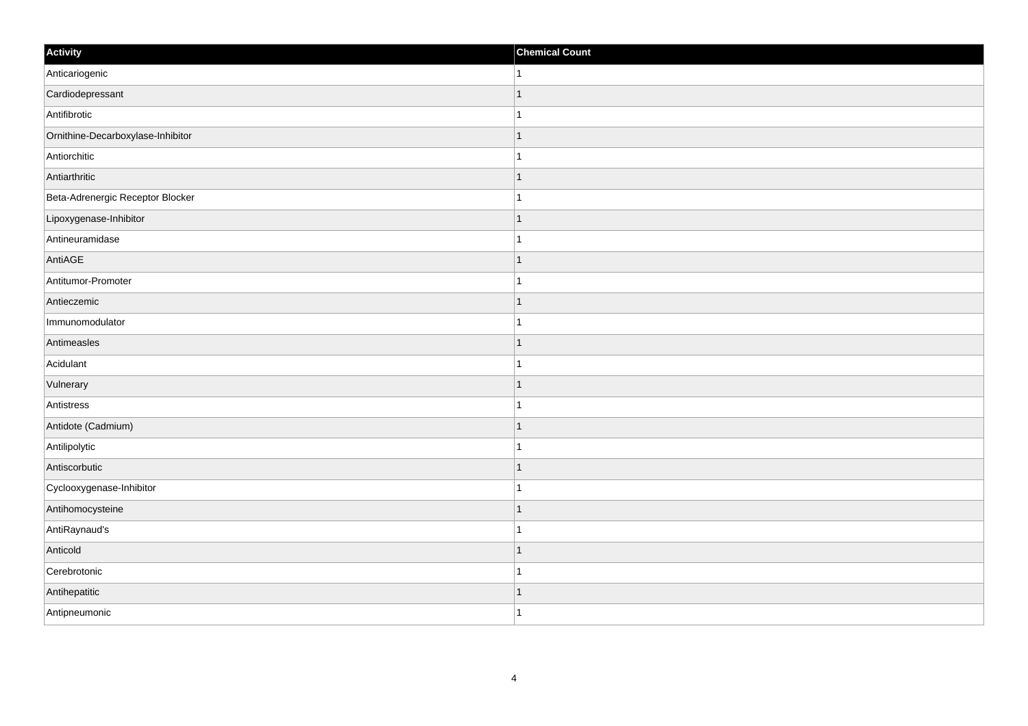| Activity                          | <b>Chemical Count</b> |
|-----------------------------------|-----------------------|
| Anticariogenic                    | $\mathbf{1}$          |
| Cardiodepressant                  |                       |
| Antifibrotic                      |                       |
| Ornithine-Decarboxylase-Inhibitor | $\mathbf 1$           |
| Antiorchitic                      | $\mathbf{1}$          |
| Antiarthritic                     |                       |
| Beta-Adrenergic Receptor Blocker  | 1                     |
| Lipoxygenase-Inhibitor            | $\mathbf 1$           |
| Antineuramidase                   |                       |
| AntiAGE                           | $\mathbf{1}$          |
| Antitumor-Promoter                | $\mathbf{1}$          |
| Antieczemic                       |                       |
| Immunomodulator                   | $\mathbf{1}$          |
| Antimeasles                       | 1                     |
| Acidulant                         |                       |
| Vulnerary                         | $\mathbf{1}$          |
| Antistress                        | $\mathbf{1}$          |
| Antidote (Cadmium)                | $\mathbf 1$           |
| Antilipolytic                     | 1                     |
| Antiscorbutic                     | -1                    |
| Cyclooxygenase-Inhibitor          |                       |
| Antihomocysteine                  | $\mathbf{1}$          |
| AntiRaynaud's                     | $\mathbf{1}$          |
| Anticold                          | $\mathbf 1$           |
| Cerebrotonic                      |                       |
| Antihepatitic                     | 1                     |
| Antipneumonic                     | $\mathbf{1}$          |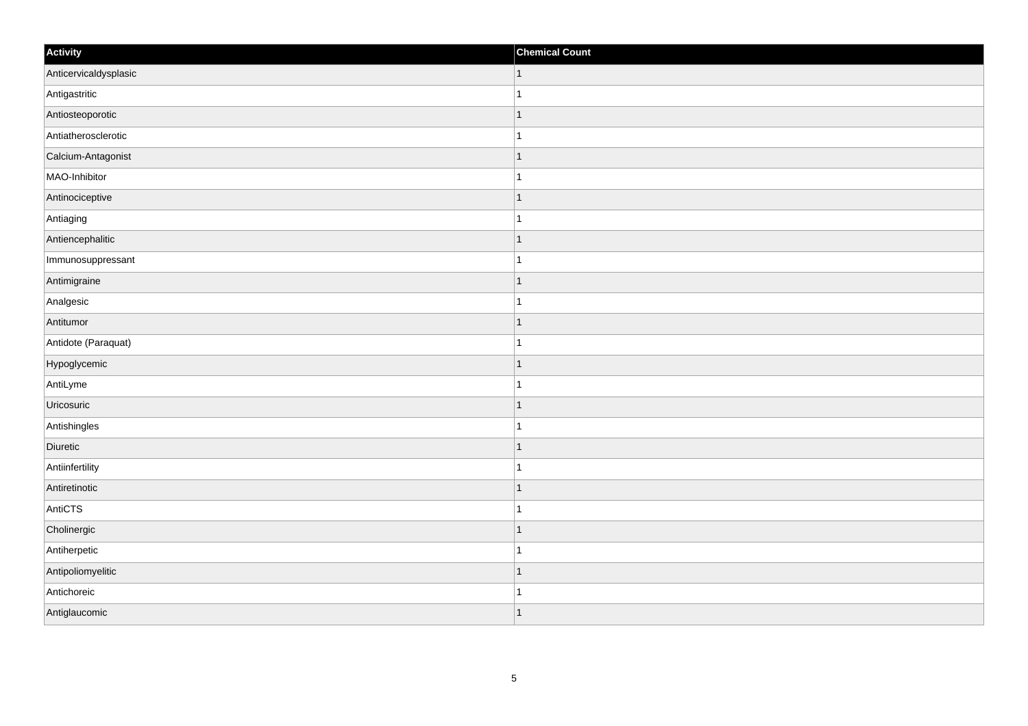| Activity              | <b>Chemical Count</b> |
|-----------------------|-----------------------|
| Anticervicaldysplasic | $\vert$ 1             |
| Antigastritic         | $\mathbf{1}$          |
| Antiosteoporotic      | 1                     |
| Antiatherosclerotic   | 1                     |
| Calcium-Antagonist    | $\mathbf 1$           |
| MAO-Inhibitor         |                       |
| Antinociceptive       | $\overline{1}$        |
| Antiaging             | $\mathbf{1}$          |
| Antiencephalitic      | $\mathbf 1$           |
| Immunosuppressant     | $\mathbf{1}$          |
| Antimigraine          | $\overline{1}$        |
| Analgesic             |                       |
| Antitumor             | $\vert$ 1             |
| Antidote (Paraquat)   | $\mathbf{1}$          |
| Hypoglycemic          | $\mathbf 1$           |
| AntiLyme              | $\mathbf{1}$          |
| Uricosuric            | $\mathbf 1$           |
| Antishingles          | 1                     |
| Diuretic              | $\vert$ 1             |
| Antiinfertility       | $\mathbf{1}$          |
| Antiretinotic         | 1                     |
| AntiCTS               | $\mathbf{1}$          |
| Cholinergic           | $\mathbf 1$           |
| Antiherpetic          | $\mathbf{1}$          |
| Antipoliomyelitic     | $\mathbf{1}$          |
| Antichoreic           | 1                     |
| Antiglaucomic         | $\vert$ 1             |